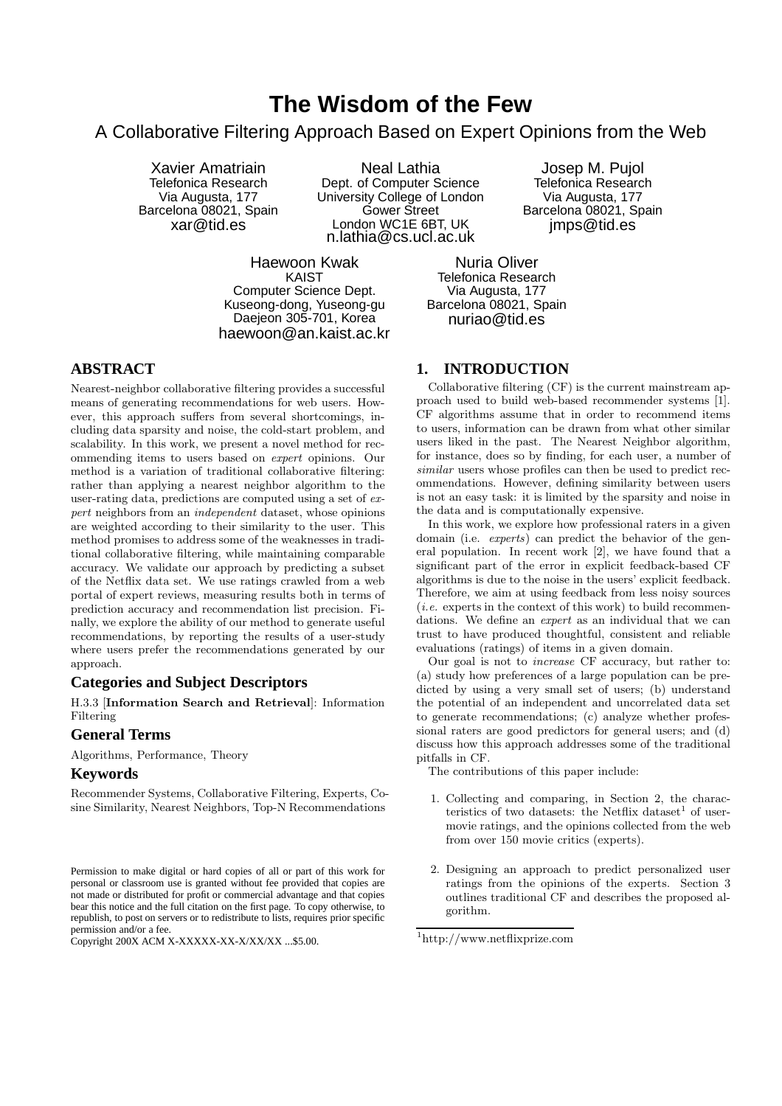# **The Wisdom of the Few**

# A Collaborative Filtering Approach Based on Expert Opinions from the Web

Xavier Amatriain Telefonica Research Via Augusta, 177 Barcelona 08021, Spain xar@tid.es

Neal Lathia Dept. of Computer Science University College of London Gower Street London WC1E 6BT, UK n.lathia@cs.ucl.ac.uk

Haewoon Kwak KAIST Computer Science Dept. Kuseong-dong, Yuseong-gu Daejeon 305-701, Korea haewoon@an.kaist.ac.kr

Nuria Oliver Telefonica Research Via Augusta, 177 Barcelona 08021, Spain nuriao@tid.es

# **ABSTRACT**

Nearest-neighbor collaborative filtering provides a successful means of generating recommendations for web users. However, this approach suffers from several shortcomings, including data sparsity and noise, the cold-start problem, and scalability. In this work, we present a novel method for recommending items to users based on expert opinions. Our method is a variation of traditional collaborative filtering: rather than applying a nearest neighbor algorithm to the user-rating data, predictions are computed using a set of expert neighbors from an independent dataset, whose opinions are weighted according to their similarity to the user. This method promises to address some of the weaknesses in traditional collaborative filtering, while maintaining comparable accuracy. We validate our approach by predicting a subset of the Netflix data set. We use ratings crawled from a web portal of expert reviews, measuring results both in terms of prediction accuracy and recommendation list precision. Finally, we explore the ability of our method to generate useful recommendations, by reporting the results of a user-study where users prefer the recommendations generated by our approach.

## **Categories and Subject Descriptors**

H.3.3 [Information Search and Retrieval]: Information Filtering

#### **General Terms**

Algorithms, Performance, Theory

## **Keywords**

Recommender Systems, Collaborative Filtering, Experts, Cosine Similarity, Nearest Neighbors, Top-N Recommendations

#### **1. INTRODUCTION**

Collaborative filtering (CF) is the current mainstream approach used to build web-based recommender systems [1]. CF algorithms assume that in order to recommend items to users, information can be drawn from what other similar users liked in the past. The Nearest Neighbor algorithm, for instance, does so by finding, for each user, a number of similar users whose profiles can then be used to predict recommendations. However, defining similarity between users is not an easy task: it is limited by the sparsity and noise in the data and is computationally expensive.

Josep M. Pujol Telefonica Research Via Augusta, 177 Barcelona 08021, Spain jmps@tid.es

In this work, we explore how professional raters in a given domain (i.e. experts) can predict the behavior of the general population. In recent work [2], we have found that a significant part of the error in explicit feedback-based CF algorithms is due to the noise in the users' explicit feedback. Therefore, we aim at using feedback from less noisy sources  $(i.e.$  experts in the context of this work) to build recommendations. We define an expert as an individual that we can trust to have produced thoughtful, consistent and reliable evaluations (ratings) of items in a given domain.

Our goal is not to increase CF accuracy, but rather to: (a) study how preferences of a large population can be predicted by using a very small set of users; (b) understand the potential of an independent and uncorrelated data set to generate recommendations; (c) analyze whether professional raters are good predictors for general users; and (d) discuss how this approach addresses some of the traditional pitfalls in CF.

The contributions of this paper include:

- 1. Collecting and comparing, in Section 2, the characteristics of two datasets: the Netflix dataset<sup>1</sup> of usermovie ratings, and the opinions collected from the web from over 150 movie critics (experts).
- 2. Designing an approach to predict personalized user ratings from the opinions of the experts. Section 3 outlines traditional CF and describes the proposed algorithm.

Permission to make digital or hard copies of all or part of this work for personal or classroom use is granted without fee provided that copies are not made or distributed for profit or commercial advantage and that copies bear this notice and the full citation on the first page. To copy otherwise, to republish, to post on servers or to redistribute to lists, requires prior specific permission and/or a fee.

Copyright 200X ACM X-XXXXX-XX-X/XX/XX ...\$5.00.

<sup>1</sup>http://www.netflixprize.com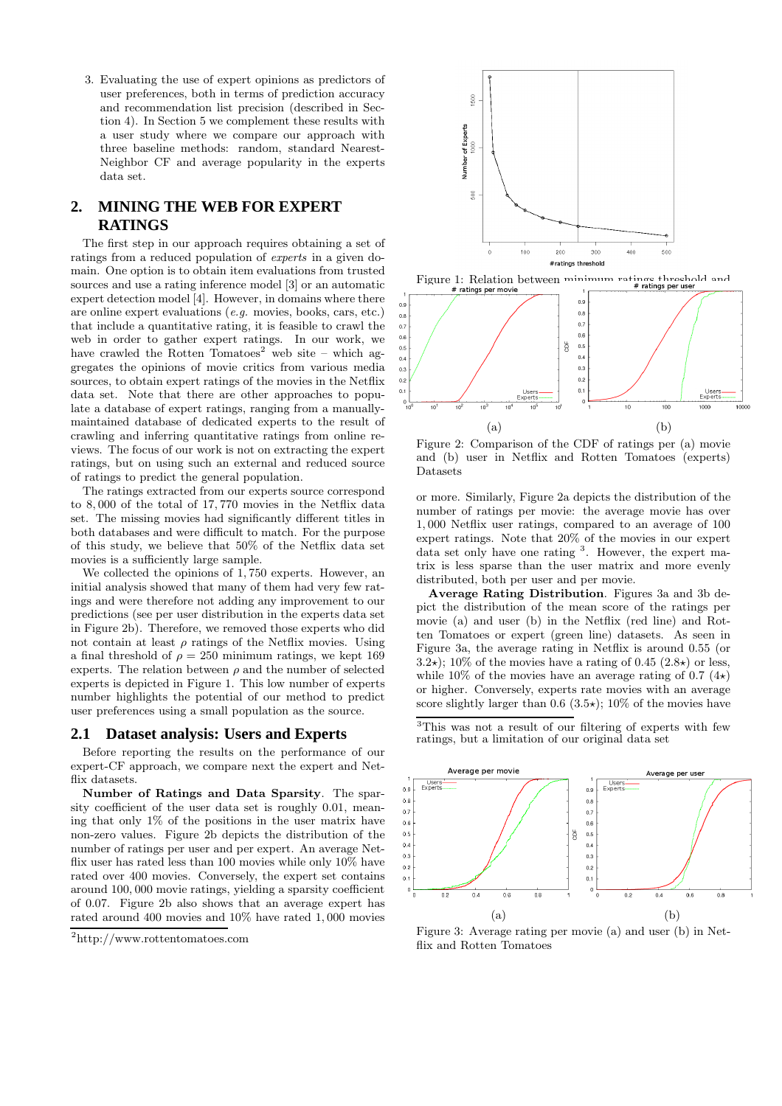3. Evaluating the use of expert opinions as predictors of user preferences, both in terms of prediction accuracy and recommendation list precision (described in Section 4). In Section 5 we complement these results with a user study where we compare our approach with three baseline methods: random, standard Nearest-Neighbor CF and average popularity in the experts data set.

# **2. MINING THE WEB FOR EXPERT RATINGS**

The first step in our approach requires obtaining a set of ratings from a reduced population of experts in a given domain. One option is to obtain item evaluations from trusted sources and use a rating inference model [3] or an automatic expert detection model [4]. However, in domains where there are online expert evaluations (e.g. movies, books, cars, etc.) that include a quantitative rating, it is feasible to crawl the web in order to gather expert ratings. In our work, we have crawled the Rotten Tomatoes<sup>2</sup> web site – which aggregates the opinions of movie critics from various media sources, to obtain expert ratings of the movies in the Netflix data set. Note that there are other approaches to populate a database of expert ratings, ranging from a manuallymaintained database of dedicated experts to the result of crawling and inferring quantitative ratings from online reviews. The focus of our work is not on extracting the expert ratings, but on using such an external and reduced source of ratings to predict the general population.

The ratings extracted from our experts source correspond to 8, 000 of the total of 17, 770 movies in the Netflix data set. The missing movies had significantly different titles in both databases and were difficult to match. For the purpose of this study, we believe that 50% of the Netflix data set movies is a sufficiently large sample.

We collected the opinions of 1, 750 experts. However, an initial analysis showed that many of them had very few ratings and were therefore not adding any improvement to our predictions (see per user distribution in the experts data set in Figure 2b). Therefore, we removed those experts who did not contain at least  $\rho$  ratings of the Netflix movies. Using a final threshold of  $\rho = 250$  minimum ratings, we kept 169 experts. The relation between  $\rho$  and the number of selected experts is depicted in Figure 1. This low number of experts number highlights the potential of our method to predict user preferences using a small population as the source.

#### **2.1 Dataset analysis: Users and Experts**

Before reporting the results on the performance of our expert-CF approach, we compare next the expert and Netflix datasets.

Number of Ratings and Data Sparsity. The sparsity coefficient of the user data set is roughly 0.01, meaning that only 1% of the positions in the user matrix have non-zero values. Figure 2b depicts the distribution of the number of ratings per user and per expert. An average Netflix user has rated less than 100 movies while only 10% have rated over 400 movies. Conversely, the expert set contains around 100, 000 movie ratings, yielding a sparsity coefficient of 0.07. Figure 2b also shows that an average expert has rated around 400 movies and 10% have rated 1, 000 movies



Figure 1: Relation between minimum ratings threshold and



Figure 2: Comparison of the CDF of ratings per (a) movie and (b) user in Netflix and Rotten Tomatoes (experts) Datasets

or more. Similarly, Figure 2a depicts the distribution of the number of ratings per movie: the average movie has over 1, 000 Netflix user ratings, compared to an average of 100 expert ratings. Note that 20% of the movies in our expert data set only have one rating <sup>3</sup>. However, the expert matrix is less sparse than the user matrix and more evenly distributed, both per user and per movie.

Average Rating Distribution. Figures 3a and 3b depict the distribution of the mean score of the ratings per movie (a) and user (b) in the Netflix (red line) and Rotten Tomatoes or expert (green line) datasets. As seen in Figure 3a, the average rating in Netflix is around 0.55 (or 3.2<sup>\*</sup>); 10% of the movies have a rating of 0.45 (2.8<sup>\*</sup>) or less, while 10% of the movies have an average rating of 0.7  $(4\star)$ or higher. Conversely, experts rate movies with an average score slightly larger than 0.6 (3.5 $\star$ ); 10% of the movies have

<sup>3</sup>This was not a result of our filtering of experts with few ratings, but a limitation of our original data set



Figure 3: Average rating per movie (a) and user (b) in Netflix and Rotten Tomatoes

<sup>2</sup>http://www.rottentomatoes.com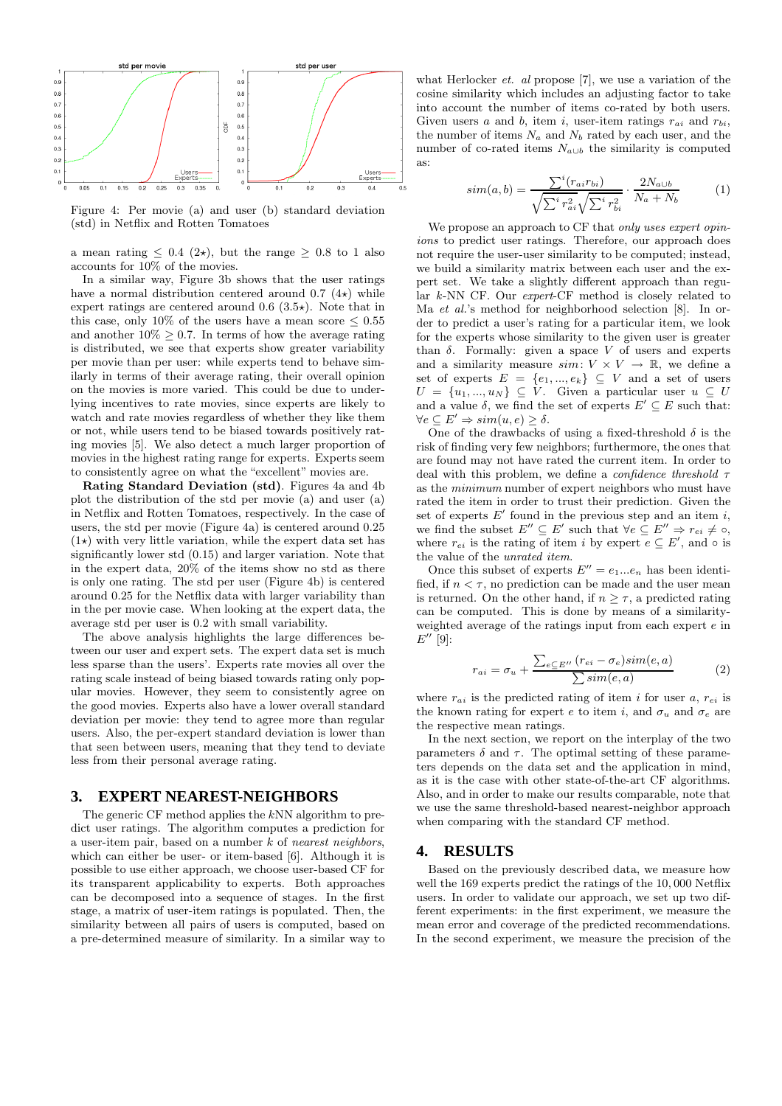

Figure 4: Per movie (a) and user (b) standard deviation (std) in Netflix and Rotten Tomatoes

a mean rating  $\leq$  0.4 (2<sup>\*</sup>), but the range  $\geq$  0.8 to 1 also accounts for 10% of the movies.

In a similar way, Figure 3b shows that the user ratings have a normal distribution centered around 0.7  $(4\star)$  while expert ratings are centered around 0.6 (3.5 $\star$ ). Note that in this case, only 10% of the users have a mean score  $\leq 0.55$ and another  $10\% \geq 0.7$ . In terms of how the average rating is distributed, we see that experts show greater variability per movie than per user: while experts tend to behave similarly in terms of their average rating, their overall opinion on the movies is more varied. This could be due to underlying incentives to rate movies, since experts are likely to watch and rate movies regardless of whether they like them or not, while users tend to be biased towards positively rating movies [5]. We also detect a much larger proportion of movies in the highest rating range for experts. Experts seem to consistently agree on what the "excellent" movies are.

Rating Standard Deviation (std). Figures 4a and 4b plot the distribution of the std per movie (a) and user (a) in Netflix and Rotten Tomatoes, respectively. In the case of users, the std per movie (Figure 4a) is centered around 0.25  $(1\star)$  with very little variation, while the expert data set has significantly lower std (0.15) and larger variation. Note that in the expert data, 20% of the items show no std as there is only one rating. The std per user (Figure 4b) is centered around 0.25 for the Netflix data with larger variability than in the per movie case. When looking at the expert data, the average std per user is 0.2 with small variability.

The above analysis highlights the large differences between our user and expert sets. The expert data set is much less sparse than the users'. Experts rate movies all over the rating scale instead of being biased towards rating only popular movies. However, they seem to consistently agree on the good movies. Experts also have a lower overall standard deviation per movie: they tend to agree more than regular users. Also, the per-expert standard deviation is lower than that seen between users, meaning that they tend to deviate less from their personal average rating.

## **3. EXPERT NEAREST-NEIGHBORS**

The generic CF method applies the  $kNN$  algorithm to predict user ratings. The algorithm computes a prediction for a user-item pair, based on a number k of nearest neighbors, which can either be user- or item-based [6]. Although it is possible to use either approach, we choose user-based CF for its transparent applicability to experts. Both approaches can be decomposed into a sequence of stages. In the first stage, a matrix of user-item ratings is populated. Then, the similarity between all pairs of users is computed, based on a pre-determined measure of similarity. In a similar way to

what Herlocker  $et.$  al propose [7], we use a variation of the cosine similarity which includes an adjusting factor to take into account the number of items co-rated by both users. Given users a and b, item i, user-item ratings  $r_{ai}$  and  $r_{bi}$ , the number of items  $N_a$  and  $N_b$  rated by each user, and the number of co-rated items  $N_{a\cup b}$  the similarity is computed as:

$$
sim(a,b) = \frac{\sum^{i} (r_{ai}r_{bi})}{\sqrt{\sum^{i} r_{ai}^{2}} \sqrt{\sum^{i} r_{bi}^{2}}} \cdot \frac{2N_{a\cup b}}{N_{a} + N_{b}}
$$
(1)

We propose an approach to CF that only uses expert opinions to predict user ratings. Therefore, our approach does not require the user-user similarity to be computed; instead, we build a similarity matrix between each user and the expert set. We take a slightly different approach than regular k-NN CF. Our expert-CF method is closely related to Ma et al.'s method for neighborhood selection [8]. In order to predict a user's rating for a particular item, we look for the experts whose similarity to the given user is greater than  $\delta$ . Formally: given a space V of users and experts and a similarity measure  $sim: V \times V \rightarrow \mathbb{R}$ , we define a set of experts  $E = \{e_1, ..., e_k\} \subseteq V$  and a set of users  $U = \{u_1, ..., u_N\} \subseteq V$ . Given a particular user  $u \subseteq U$ and a value  $\delta$ , we find the set of experts  $E' \subseteq E$  such that:  $\forall e \subseteq E' \Rightarrow sim(u, e) \geq \delta.$ 

One of the drawbacks of using a fixed-threshold  $\delta$  is the risk of finding very few neighbors; furthermore, the ones that are found may not have rated the current item. In order to deal with this problem, we define a *confidence threshold*  $\tau$ as the minimum number of expert neighbors who must have rated the item in order to trust their prediction. Given the set of experts  $E'$  found in the previous step and an item  $i$ , we find the subset  $E'' \subseteq E'$  such that  $\forall e \subseteq E'' \Rightarrow r_{ei} \neq \infty$ , where  $r_{ei}$  is the rating of item i by expert  $e \subseteq E'$ , and  $\circ$  is the value of the unrated item.

Once this subset of experts  $E'' = e_1...e_n$  has been identified, if  $n < \tau$ , no prediction can be made and the user mean is returned. On the other hand, if  $n \geq \tau$ , a predicted rating can be computed. This is done by means of a similarityweighted average of the ratings input from each expert  $e$  in  $E''$  [9]:

$$
r_{ai} = \sigma_u + \frac{\sum_{e \subseteq E''} (r_{ei} - \sigma_e) \text{sim}(e, a)}{\sum \text{sim}(e, a)} \tag{2}
$$

where  $r_{ai}$  is the predicted rating of item i for user a,  $r_{ei}$  is the known rating for expert e to item i, and  $\sigma_u$  and  $\sigma_e$  are the respective mean ratings.

In the next section, we report on the interplay of the two parameters  $\delta$  and  $\tau$ . The optimal setting of these parameters depends on the data set and the application in mind, as it is the case with other state-of-the-art CF algorithms. Also, and in order to make our results comparable, note that we use the same threshold-based nearest-neighbor approach when comparing with the standard CF method.

#### **4. RESULTS**

Based on the previously described data, we measure how well the 169 experts predict the ratings of the 10, 000 Netflix users. In order to validate our approach, we set up two different experiments: in the first experiment, we measure the mean error and coverage of the predicted recommendations. In the second experiment, we measure the precision of the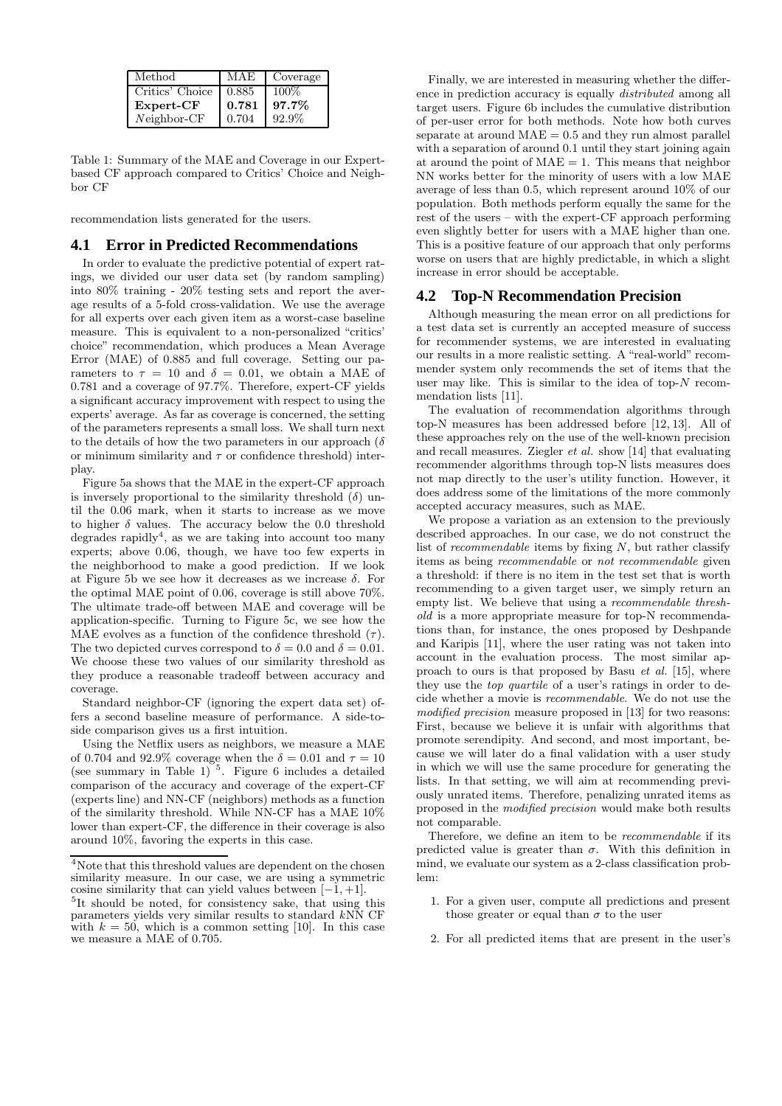| Method          | MAE   | Coverage |
|-----------------|-------|----------|
| Critics' Choice | 0.885 | -100%    |
| Expert-CF       | 0.781 | $97.7\%$ |
| $Neighbour-CF$  | 0.704 | 92.9%    |

Table 1: Summary of the MAE and Coverage in our Expertbased CF approach compared to Critics' Choice and Neighbor CF

recommendation lists generated for the users.

#### **4.1 Error in Predicted Recommendations**

In order to evaluate the predictive potential of expert ratings, we divided our user data set (by random sampling) into 80% training - 20% testing sets and report the average results of a 5-fold cross-validation. We use the average for all experts over each given item as a worst-case baseline measure. This is equivalent to a non-personalized "critics' choice" recommendation, which produces a Mean Average Error (MAE) of 0.885 and full coverage. Setting our parameters to  $\tau = 10$  and  $\delta = 0.01$ , we obtain a MAE of 0.781 and a coverage of 97.7%. Therefore, expert-CF yields a significant accuracy improvement with respect to using the experts' average. As far as coverage is concerned, the setting of the parameters represents a small loss. We shall turn next to the details of how the two parameters in our approach  $(\delta)$ or minimum similarity and  $\tau$  or confidence threshold) interplay.

Figure 5a shows that the MAE in the expert-CF approach is inversely proportional to the similarity threshold  $(\delta)$  until the 0.06 mark, when it starts to increase as we move to higher  $\delta$  values. The accuracy below the 0.0 threshold degrades rapidly<sup>4</sup>, as we are taking into account too many experts; above 0.06, though, we have too few experts in the neighborhood to make a good prediction. If we look at Figure 5b we see how it decreases as we increase  $\delta$ . For the optimal MAE point of 0.06, coverage is still above 70%. The ultimate trade-off between MAE and coverage will be application-specific. Turning to Figure 5c, we see how the MAE evolves as a function of the confidence threshold  $(\tau)$ . The two depicted curves correspond to  $\delta = 0.0$  and  $\delta = 0.01$ . We choose these two values of our similarity threshold as they produce a reasonable tradeoff between accuracy and coverage.

Standard neighbor-CF (ignoring the expert data set) offers a second baseline measure of performance. A side-toside comparison gives us a first intuition.

Using the Netflix users as neighbors, we measure a MAE of 0.704 and 92.9% coverage when the  $\delta = 0.01$  and  $\tau = 10$ (see summary in Table 1)<sup>5</sup>. Figure 6 includes a detailed comparison of the accuracy and coverage of the expert-CF (experts line) and NN-CF (neighbors) methods as a function of the similarity threshold. While NN-CF has a MAE 10% lower than expert-CF, the difference in their coverage is also around 10%, favoring the experts in this case.

Finally, we are interested in measuring whether the difference in prediction accuracy is equally *distributed* among all target users. Figure 6b includes the cumulative distribution of per-user error for both methods. Note how both curves separate at around  $MAE = 0.5$  and they run almost parallel with a separation of around 0.1 until they start joining again at around the point of  $MAE = 1$ . This means that neighbor NN works better for the minority of users with a low MAE average of less than 0.5, which represent around 10% of our population. Both methods perform equally the same for the rest of the users – with the expert-CF approach performing even slightly better for users with a MAE higher than one. This is a positive feature of our approach that only performs worse on users that are highly predictable, in which a slight increase in error should be acceptable.

#### **4.2 Top-N Recommendation Precision**

Although measuring the mean error on all predictions for a test data set is currently an accepted measure of success for recommender systems, we are interested in evaluating our results in a more realistic setting. A "real-world" recommender system only recommends the set of items that the user may like. This is similar to the idea of top- $N$  recommendation lists [11].

The evaluation of recommendation algorithms through top-N measures has been addressed before [12, 13]. All of these approaches rely on the use of the well-known precision and recall measures. Ziegler  $et$  al. show [14] that evaluating recommender algorithms through top-N lists measures does not map directly to the user's utility function. However, it does address some of the limitations of the more commonly accepted accuracy measures, such as MAE.

We propose a variation as an extension to the previously described approaches. In our case, we do not construct the list of recommendable items by fixing  $N$ , but rather classify items as being recommendable or not recommendable given a threshold: if there is no item in the test set that is worth recommending to a given target user, we simply return an empty list. We believe that using a recommendable threshold is a more appropriate measure for top-N recommendations than, for instance, the ones proposed by Deshpande and Karipis [11], where the user rating was not taken into account in the evaluation process. The most similar approach to ours is that proposed by Basu et al. [15], where they use the *top quartile* of a user's ratings in order to decide whether a movie is recommendable. We do not use the modified precision measure proposed in [13] for two reasons: First, because we believe it is unfair with algorithms that promote serendipity. And second, and most important, because we will later do a final validation with a user study in which we will use the same procedure for generating the lists. In that setting, we will aim at recommending previously unrated items. Therefore, penalizing unrated items as proposed in the modified precision would make both results not comparable.

Therefore, we define an item to be recommendable if its predicted value is greater than  $\sigma$ . With this definition in mind, we evaluate our system as a 2-class classification problem:

- 1. For a given user, compute all predictions and present those greater or equal than  $\sigma$  to the user
- 2. For all predicted items that are present in the user's

<sup>&</sup>lt;sup>4</sup>Note that this threshold values are dependent on the chosen similarity measure. In our case, we are using a symmetric cosine similarity that can yield values between  $[-1, +1]$ .

<sup>5</sup> It should be noted, for consistency sake, that using this parameters yields very similar results to standard  $kNN$  CF with  $k = 50$ , which is a common setting [10]. In this case we measure a MAE of 0.705.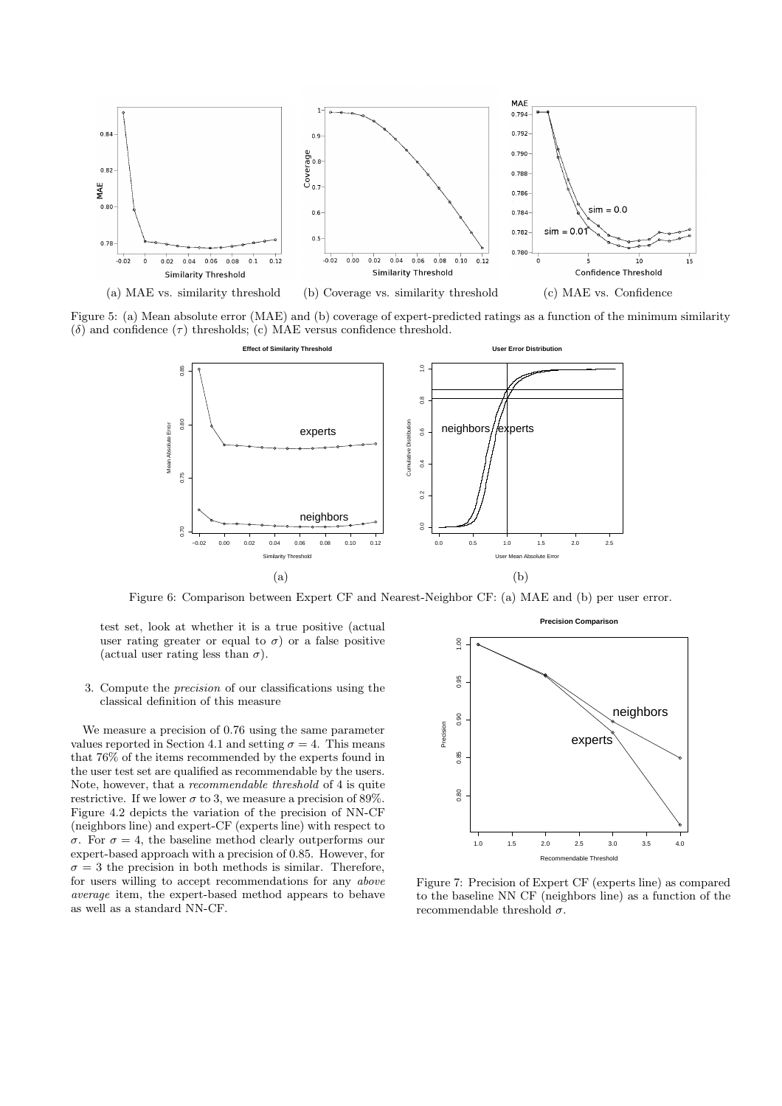

Figure 5: (a) Mean absolute error (MAE) and (b) coverage of expert-predicted ratings as a function of the minimum similarity (δ) and confidence  $(\tau)$  thresholds; (c) MAE versus confidence threshold.



Figure 6: Comparison between Expert CF and Nearest-Neighbor CF: (a) MAE and (b) per user error.

test set, look at whether it is a true positive (actual user rating greater or equal to  $\sigma$ ) or a false positive (actual user rating less than  $\sigma$ ).

3. Compute the precision of our classifications using the classical definition of this measure

We measure a precision of 0.76 using the same parameter values reported in Section 4.1 and setting  $\sigma = 4$ . This means that 76% of the items recommended by the experts found in the user test set are qualified as recommendable by the users. Note, however, that a recommendable threshold of 4 is quite restrictive. If we lower  $\sigma$  to 3, we measure a precision of 89%. Figure 4.2 depicts the variation of the precision of NN-CF (neighbors line) and expert-CF (experts line) with respect to σ. For σ = 4, the baseline method clearly outperforms our expert-based approach with a precision of 0.85. However, for  $\sigma = 3$  the precision in both methods is similar. Therefore, for users willing to accept recommendations for any above average item, the expert-based method appears to behave as well as a standard NN-CF.



Figure 7: Precision of Expert CF (experts line) as compared to the baseline NN CF (neighbors line) as a function of the recommendable threshold  $\sigma$ .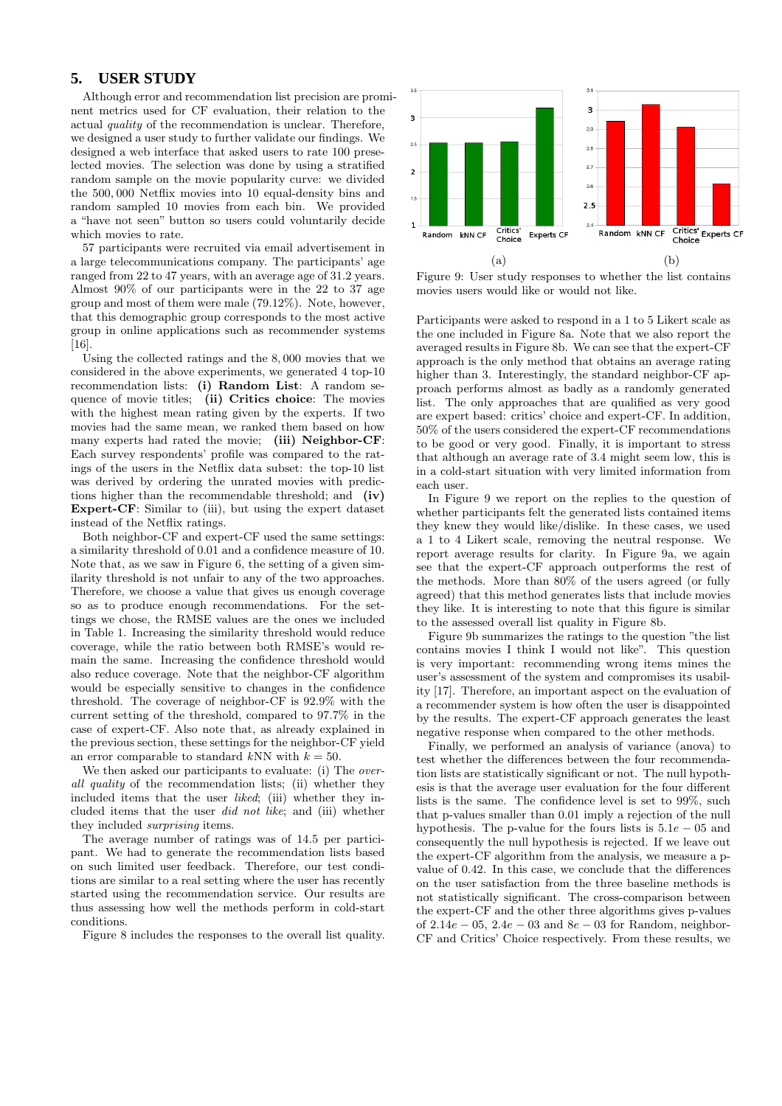# **5. USER STUDY**

Although error and recommendation list precision are prominent metrics used for CF evaluation, their relation to the actual quality of the recommendation is unclear. Therefore, we designed a user study to further validate our findings. We designed a web interface that asked users to rate 100 preselected movies. The selection was done by using a stratified random sample on the movie popularity curve: we divided the 500, 000 Netflix movies into 10 equal-density bins and random sampled 10 movies from each bin. We provided a "have not seen" button so users could voluntarily decide which movies to rate.

57 participants were recruited via email advertisement in a large telecommunications company. The participants' age ranged from 22 to 47 years, with an average age of 31.2 years. Almost 90% of our participants were in the 22 to 37 age group and most of them were male (79.12%). Note, however, that this demographic group corresponds to the most active group in online applications such as recommender systems [16].

Using the collected ratings and the 8, 000 movies that we considered in the above experiments, we generated 4 top-10 recommendation lists: (i) Random List: A random sequence of movie titles; (ii) Critics choice: The movies with the highest mean rating given by the experts. If two movies had the same mean, we ranked them based on how many experts had rated the movie; (iii) Neighbor-CF: Each survey respondents' profile was compared to the ratings of the users in the Netflix data subset: the top-10 list was derived by ordering the unrated movies with predictions higher than the recommendable threshold; and (iv) Expert-CF: Similar to (iii), but using the expert dataset instead of the Netflix ratings.

Both neighbor-CF and expert-CF used the same settings: a similarity threshold of 0.01 and a confidence measure of 10. Note that, as we saw in Figure 6, the setting of a given similarity threshold is not unfair to any of the two approaches. Therefore, we choose a value that gives us enough coverage so as to produce enough recommendations. For the settings we chose, the RMSE values are the ones we included in Table 1. Increasing the similarity threshold would reduce coverage, while the ratio between both RMSE's would remain the same. Increasing the confidence threshold would also reduce coverage. Note that the neighbor-CF algorithm would be especially sensitive to changes in the confidence threshold. The coverage of neighbor-CF is 92.9% with the current setting of the threshold, compared to 97.7% in the case of expert-CF. Also note that, as already explained in the previous section, these settings for the neighbor-CF yield an error comparable to standard kNN with  $k = 50$ .

We then asked our participants to evaluate: (i) The *over*all quality of the recommendation lists; (ii) whether they included items that the user liked; (iii) whether they included items that the user did not like; and (iii) whether they included surprising items.

The average number of ratings was of 14.5 per participant. We had to generate the recommendation lists based on such limited user feedback. Therefore, our test conditions are similar to a real setting where the user has recently started using the recommendation service. Our results are thus assessing how well the methods perform in cold-start conditions.

Figure 8 includes the responses to the overall list quality.



Figure 9: User study responses to whether the list contains movies users would like or would not like.

Participants were asked to respond in a 1 to 5 Likert scale as the one included in Figure 8a. Note that we also report the averaged results in Figure 8b. We can see that the expert-CF approach is the only method that obtains an average rating higher than 3. Interestingly, the standard neighbor-CF approach performs almost as badly as a randomly generated list. The only approaches that are qualified as very good are expert based: critics' choice and expert-CF. In addition, 50% of the users considered the expert-CF recommendations to be good or very good. Finally, it is important to stress that although an average rate of 3.4 might seem low, this is in a cold-start situation with very limited information from each user.

In Figure 9 we report on the replies to the question of whether participants felt the generated lists contained items they knew they would like/dislike. In these cases, we used a 1 to 4 Likert scale, removing the neutral response. We report average results for clarity. In Figure 9a, we again see that the expert-CF approach outperforms the rest of the methods. More than 80% of the users agreed (or fully agreed) that this method generates lists that include movies they like. It is interesting to note that this figure is similar to the assessed overall list quality in Figure 8b.

Figure 9b summarizes the ratings to the question "the list contains movies I think I would not like". This question is very important: recommending wrong items mines the user's assessment of the system and compromises its usability [17]. Therefore, an important aspect on the evaluation of a recommender system is how often the user is disappointed by the results. The expert-CF approach generates the least negative response when compared to the other methods.

Finally, we performed an analysis of variance (anova) to test whether the differences between the four recommendation lists are statistically significant or not. The null hypothesis is that the average user evaluation for the four different lists is the same. The confidence level is set to 99%, such that p-values smaller than 0.01 imply a rejection of the null hypothesis. The p-value for the fours lists is  $5.1e - 05$  and consequently the null hypothesis is rejected. If we leave out the expert-CF algorithm from the analysis, we measure a pvalue of 0.42. In this case, we conclude that the differences on the user satisfaction from the three baseline methods is not statistically significant. The cross-comparison between the expert-CF and the other three algorithms gives p-values of  $2.14e - 05$ ,  $2.4e - 03$  and  $8e - 03$  for Random, neighbor-CF and Critics' Choice respectively. From these results, we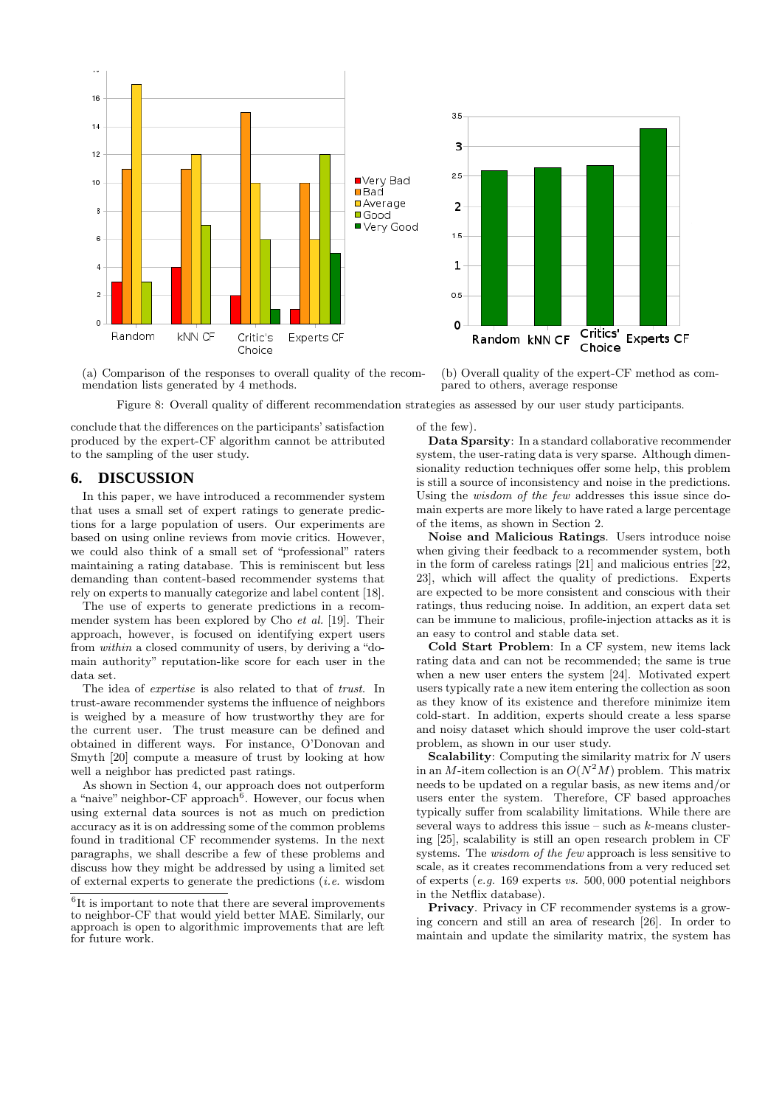



(a) Comparison of the responses to overall quality of the recommendation lists generated by 4 methods.

(b) Overall quality of the expert-CF method as compared to others, average response

Figure 8: Overall quality of different recommendation strategies as assessed by our user study participants.

conclude that the differences on the participants' satisfaction produced by the expert-CF algorithm cannot be attributed to the sampling of the user study.

#### **6. DISCUSSION**

In this paper, we have introduced a recommender system that uses a small set of expert ratings to generate predictions for a large population of users. Our experiments are based on using online reviews from movie critics. However, we could also think of a small set of "professional" raters maintaining a rating database. This is reminiscent but less demanding than content-based recommender systems that rely on experts to manually categorize and label content [18].

The use of experts to generate predictions in a recommender system has been explored by Cho et al. [19]. Their approach, however, is focused on identifying expert users from within a closed community of users, by deriving a "domain authority" reputation-like score for each user in the data set.

The idea of expertise is also related to that of trust. In trust-aware recommender systems the influence of neighbors is weighed by a measure of how trustworthy they are for the current user. The trust measure can be defined and obtained in different ways. For instance, O'Donovan and Smyth [20] compute a measure of trust by looking at how well a neighbor has predicted past ratings.

As shown in Section 4, our approach does not outperform a "naive" neighbor-CF approach<sup>6</sup>. However, our focus when using external data sources is not as much on prediction accuracy as it is on addressing some of the common problems found in traditional CF recommender systems. In the next paragraphs, we shall describe a few of these problems and discuss how they might be addressed by using a limited set of external experts to generate the predictions (i.e. wisdom of the few).

Data Sparsity: In a standard collaborative recommender system, the user-rating data is very sparse. Although dimensionality reduction techniques offer some help, this problem is still a source of inconsistency and noise in the predictions. Using the wisdom of the few addresses this issue since domain experts are more likely to have rated a large percentage of the items, as shown in Section 2.

Noise and Malicious Ratings. Users introduce noise when giving their feedback to a recommender system, both in the form of careless ratings [21] and malicious entries [22, 23], which will affect the quality of predictions. Experts are expected to be more consistent and conscious with their ratings, thus reducing noise. In addition, an expert data set can be immune to malicious, profile-injection attacks as it is an easy to control and stable data set.

Cold Start Problem: In a CF system, new items lack rating data and can not be recommended; the same is true when a new user enters the system [24]. Motivated expert users typically rate a new item entering the collection as soon as they know of its existence and therefore minimize item cold-start. In addition, experts should create a less sparse and noisy dataset which should improve the user cold-start problem, as shown in our user study.

**Scalability:** Computing the similarity matrix for  $N$  users in an M-item collection is an  $O(N^2M)$  problem. This matrix needs to be updated on a regular basis, as new items and/or users enter the system. Therefore, CF based approaches typically suffer from scalability limitations. While there are several ways to address this issue – such as  $k$ -means clustering [25], scalability is still an open research problem in CF systems. The wisdom of the few approach is less sensitive to scale, as it creates recommendations from a very reduced set of experts (e.g. 169 experts vs. 500, 000 potential neighbors in the Netflix database).

Privacy. Privacy in CF recommender systems is a growing concern and still an area of research [26]. In order to maintain and update the similarity matrix, the system has

<sup>&</sup>lt;sup>6</sup>It is important to note that there are several improvements to neighbor-CF that would yield better MAE. Similarly, our approach is open to algorithmic improvements that are left for future work.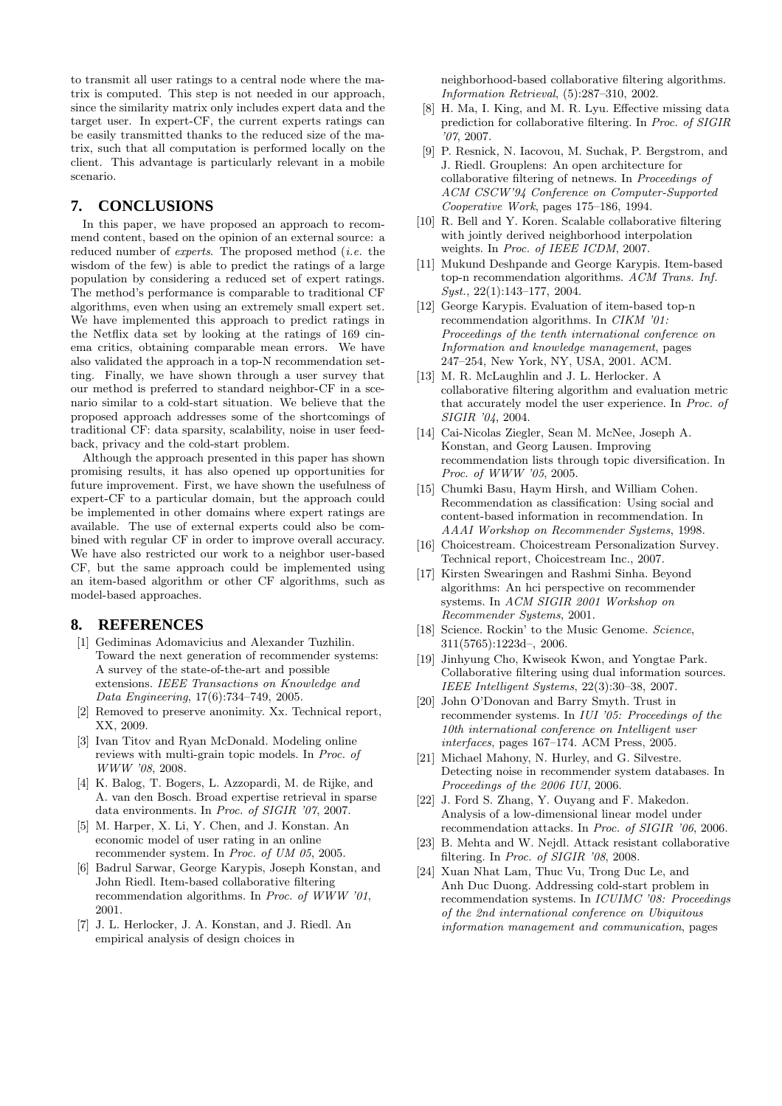to transmit all user ratings to a central node where the matrix is computed. This step is not needed in our approach, since the similarity matrix only includes expert data and the target user. In expert-CF, the current experts ratings can be easily transmitted thanks to the reduced size of the matrix, such that all computation is performed locally on the client. This advantage is particularly relevant in a mobile scenario.

# **7. CONCLUSIONS**

In this paper, we have proposed an approach to recommend content, based on the opinion of an external source: a reduced number of *experts*. The proposed method  $(i.e.$  the wisdom of the few) is able to predict the ratings of a large population by considering a reduced set of expert ratings. The method's performance is comparable to traditional CF algorithms, even when using an extremely small expert set. We have implemented this approach to predict ratings in the Netflix data set by looking at the ratings of 169 cinema critics, obtaining comparable mean errors. We have also validated the approach in a top-N recommendation setting. Finally, we have shown through a user survey that our method is preferred to standard neighbor-CF in a scenario similar to a cold-start situation. We believe that the proposed approach addresses some of the shortcomings of traditional CF: data sparsity, scalability, noise in user feedback, privacy and the cold-start problem.

Although the approach presented in this paper has shown promising results, it has also opened up opportunities for future improvement. First, we have shown the usefulness of expert-CF to a particular domain, but the approach could be implemented in other domains where expert ratings are available. The use of external experts could also be combined with regular CF in order to improve overall accuracy. We have also restricted our work to a neighbor user-based CF, but the same approach could be implemented using an item-based algorithm or other CF algorithms, such as model-based approaches.

## **8. REFERENCES**

- [1] Gediminas Adomavicius and Alexander Tuzhilin. Toward the next generation of recommender systems: A survey of the state-of-the-art and possible extensions. IEEE Transactions on Knowledge and Data Engineering, 17(6):734–749, 2005.
- [2] Removed to preserve anonimity. Xx. Technical report, XX, 2009.
- [3] Ivan Titov and Ryan McDonald. Modeling online reviews with multi-grain topic models. In Proc. of WWW '08, 2008.
- [4] K. Balog, T. Bogers, L. Azzopardi, M. de Rijke, and A. van den Bosch. Broad expertise retrieval in sparse data environments. In Proc. of SIGIR '07, 2007.
- [5] M. Harper, X. Li, Y. Chen, and J. Konstan. An economic model of user rating in an online recommender system. In Proc. of UM 05, 2005.
- [6] Badrul Sarwar, George Karypis, Joseph Konstan, and John Riedl. Item-based collaborative filtering recommendation algorithms. In Proc. of WWW '01, 2001.
- [7] J. L. Herlocker, J. A. Konstan, and J. Riedl. An empirical analysis of design choices in

neighborhood-based collaborative filtering algorithms. Information Retrieval, (5):287–310, 2002.

- [8] H. Ma, I. King, and M. R. Lyu. Effective missing data prediction for collaborative filtering. In Proc. of SIGIR '07, 2007.
- [9] P. Resnick, N. Iacovou, M. Suchak, P. Bergstrom, and J. Riedl. Grouplens: An open architecture for collaborative filtering of netnews. In Proceedings of ACM CSCW'94 Conference on Computer-Supported Cooperative Work, pages 175–186, 1994.
- [10] R. Bell and Y. Koren. Scalable collaborative filtering with jointly derived neighborhood interpolation weights. In Proc. of IEEE ICDM, 2007.
- [11] Mukund Deshpande and George Karypis. Item-based top-n recommendation algorithms. ACM Trans. Inf. Syst., 22(1):143–177, 2004.
- [12] George Karypis. Evaluation of item-based top-n recommendation algorithms. In CIKM '01: Proceedings of the tenth international conference on Information and knowledge management, pages 247–254, New York, NY, USA, 2001. ACM.
- [13] M. R. McLaughlin and J. L. Herlocker. A collaborative filtering algorithm and evaluation metric that accurately model the user experience. In Proc. of SIGIR '04, 2004.
- [14] Cai-Nicolas Ziegler, Sean M. McNee, Joseph A. Konstan, and Georg Lausen. Improving recommendation lists through topic diversification. In Proc. of WWW '05, 2005.
- [15] Chumki Basu, Haym Hirsh, and William Cohen. Recommendation as classification: Using social and content-based information in recommendation. In AAAI Workshop on Recommender Systems, 1998.
- [16] Choicestream. Choicestream Personalization Survey. Technical report, Choicestream Inc., 2007.
- [17] Kirsten Swearingen and Rashmi Sinha. Beyond algorithms: An hci perspective on recommender systems. In ACM SIGIR 2001 Workshop on Recommender Systems, 2001.
- [18] Science. Rockin' to the Music Genome. Science, 311(5765):1223d–, 2006.
- [19] Jinhyung Cho, Kwiseok Kwon, and Yongtae Park. Collaborative filtering using dual information sources. IEEE Intelligent Systems, 22(3):30–38, 2007.
- [20] John O'Donovan and Barry Smyth. Trust in recommender systems. In IUI '05: Proceedings of the 10th international conference on Intelligent user interfaces, pages 167–174. ACM Press, 2005.
- [21] Michael Mahony, N. Hurley, and G. Silvestre. Detecting noise in recommender system databases. In Proceedings of the 2006 IUI, 2006.
- [22] J. Ford S. Zhang, Y. Ouyang and F. Makedon. Analysis of a low-dimensional linear model under recommendation attacks. In Proc. of SIGIR '06, 2006.
- [23] B. Mehta and W. Nejdl. Attack resistant collaborative filtering. In Proc. of SIGIR '08, 2008.
- [24] Xuan Nhat Lam, Thuc Vu, Trong Duc Le, and Anh Duc Duong. Addressing cold-start problem in recommendation systems. In ICUIMC '08: Proceedings of the 2nd international conference on Ubiquitous information management and communication, pages